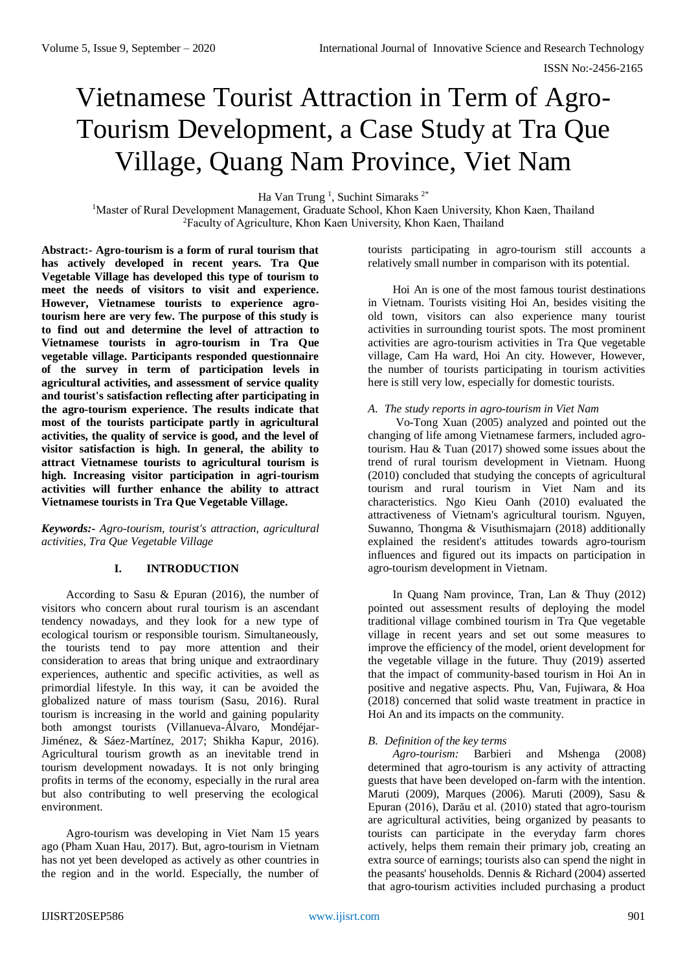# Vietnamese Tourist Attraction in Term of Agro-Tourism Development, a Case Study at Tra Que Village, Quang Nam Province, Viet Nam

Ha Van Trung<sup>1</sup>, Suchint Simaraks<sup>2\*</sup>

<sup>1</sup>Master of Rural Development Management, Graduate School, Khon Kaen University, Khon Kaen, Thailand <sup>2</sup>Faculty of Agriculture, Khon Kaen University, Khon Kaen, Thailand

**Abstract:- Agro-tourism is a form of rural tourism that has actively developed in recent years. Tra Que Vegetable Village has developed this type of tourism to meet the needs of visitors to visit and experience. However, Vietnamese tourists to experience agrotourism here are very few. The purpose of this study is to find out and determine the level of attraction to Vietnamese tourists in agro-tourism in Tra Que vegetable village. Participants responded questionnaire of the survey in term of participation levels in agricultural activities, and assessment of service quality and tourist's satisfaction reflecting after participating in the agro-tourism experience. The results indicate that most of the tourists participate partly in agricultural activities, the quality of service is good, and the level of visitor satisfaction is high. In general, the ability to attract Vietnamese tourists to agricultural tourism is high. Increasing visitor participation in agri-tourism activities will further enhance the ability to attract Vietnamese tourists in Tra Que Vegetable Village.**

*Keywords:- Agro-tourism, tourist's attraction, agricultural activities, Tra Que Vegetable Village*

## **I. INTRODUCTION**

According to Sasu & Epuran (2016), the number of visitors who concern about rural tourism is an ascendant tendency nowadays, and they look for a new type of ecological tourism or responsible tourism. Simultaneously, the tourists tend to pay more attention and their consideration to areas that bring unique and extraordinary experiences, authentic and specific activities, as well as primordial lifestyle. In this way, it can be avoided the globalized nature of mass tourism (Sasu, 2016). Rural tourism is increasing in the world and gaining popularity both amongst tourists (Villanueva-Álvaro, Mondéjar-Jiménez, & Sáez-Martínez, 2017; Shikha Kapur, 2016). Agricultural tourism growth as an inevitable trend in tourism development nowadays. It is not only bringing profits in terms of the economy, especially in the rural area but also contributing to well preserving the ecological environment.

Agro-tourism was developing in Viet Nam 15 years ago (Pham Xuan Hau, 2017). But, agro-tourism in Vietnam has not yet been developed as actively as other countries in the region and in the world. Especially, the number of

tourists participating in agro-tourism still accounts a relatively small number in comparison with its potential.

Hoi An is one of the most famous tourist destinations in Vietnam. Tourists visiting Hoi An, besides visiting the old town, visitors can also experience many tourist activities in surrounding tourist spots. The most prominent activities are agro-tourism activities in Tra Que vegetable village, Cam Ha ward, Hoi An city. However, However, the number of tourists participating in tourism activities here is still very low, especially for domestic tourists.

#### *A. The study reports in agro-tourism in Viet Nam*

Vo-Tong Xuan (2005) analyzed and pointed out the changing of life among Vietnamese farmers, included agrotourism. Hau & Tuan (2017) showed some issues about the trend of rural tourism development in Vietnam. Huong (2010) concluded that studying the concepts of agricultural tourism and rural tourism in Viet Nam and its characteristics. Ngo Kieu Oanh (2010) evaluated the attractiveness of Vietnam's agricultural tourism. Nguyen, Suwanno, Thongma & Visuthismajarn (2018) additionally explained the resident's attitudes towards agro-tourism influences and figured out its impacts on participation in agro-tourism development in Vietnam.

In Quang Nam province, Tran, Lan & Thuy (2012) pointed out assessment results of deploying the model traditional village combined tourism in Tra Que vegetable village in recent years and set out some measures to improve the efficiency of the model, orient development for the vegetable village in the future. Thuy (2019) asserted that the impact of community-based tourism in Hoi An in positive and negative aspects. Phu, Van, Fujiwara, & Hoa (2018) concerned that solid waste treatment in practice in Hoi An and its impacts on the community.

#### *B. Definition of the key terms*

*Agro-tourism:* Barbieri and Mshenga (2008) determined that agro-tourism is any activity of attracting guests that have been developed on-farm with the intention. Maruti (2009), Marques (2006). Maruti (2009), Sasu & Epuran (2016), Darău et al. (2010) stated that agro-tourism are agricultural activities, being organized by peasants to tourists can participate in the everyday farm chores actively, helps them remain their primary job, creating an extra source of earnings; tourists also can spend the night in the peasants' households. Dennis & Richard (2004) asserted that agro-tourism activities included purchasing a product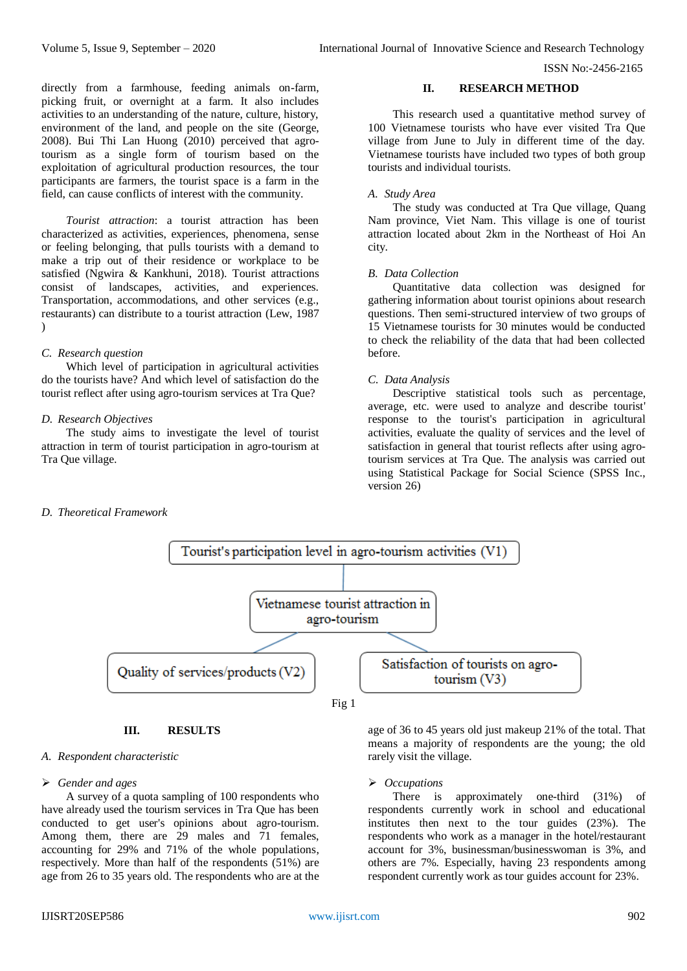directly from a farmhouse, feeding animals on-farm, picking fruit, or overnight at a farm. It also includes activities to an understanding of the nature, culture, history, environment of the land, and people on the site (George, 2008). Bui Thi Lan Huong (2010) perceived that agrotourism as a single form of tourism based on the exploitation of agricultural production resources, the tour participants are farmers, the tourist space is a farm in the field, can cause conflicts of interest with the community.

*Tourist attraction*: a tourist attraction has been characterized as activities, experiences, phenomena, sense or feeling belonging, that pulls tourists with a demand to make a trip out of their residence or workplace to be satisfied (Ngwira & Kankhuni, 2018). Tourist attractions consist of landscapes, activities, and experiences. Transportation, accommodations, and other services (e.g., restaurants) can distribute to a tourist attraction (Lew, 1987  $\lambda$ 

## *C. Research question*

Which level of participation in agricultural activities do the tourists have? And which level of satisfaction do the tourist reflect after using agro-tourism services at Tra Que?

## *D. Research Objectives*

The study aims to investigate the level of tourist attraction in term of tourist participation in agro-tourism at Tra Que village.

## **II. RESEARCH METHOD**

This research used a quantitative method survey of 100 Vietnamese tourists who have ever visited Tra Que village from June to July in different time of the day. Vietnamese tourists have included two types of both group tourists and individual tourists.

#### *A. Study Area*

The study was conducted at Tra Que village, Quang Nam province, Viet Nam. This village is one of tourist attraction located about 2km in the Northeast of Hoi An city.

#### *B. Data Collection*

Quantitative data collection was designed for gathering information about tourist opinions about research questions. Then semi-structured interview of two groups of 15 Vietnamese tourists for 30 minutes would be conducted to check the reliability of the data that had been collected before.

# *C. Data Analysis*

Descriptive statistical tools such as percentage, average, etc. were used to analyze and describe tourist' response to the tourist's participation in agricultural activities, evaluate the quality of services and the level of satisfaction in general that tourist reflects after using agrotourism services at Tra Que. The analysis was carried out using Statistical Package for Social Science (SPSS Inc., version 26)

## *D. Theoretical Framework*



## **III. RESULTS**

#### *A. Respondent characteristic*

#### *Gender and ages*

A survey of a quota sampling of 100 respondents who have already used the tourism services in Tra Que has been conducted to get user's opinions about agro-tourism. Among them, there are 29 males and 71 females, accounting for 29% and 71% of the whole populations, respectively. More than half of the respondents (51%) are age from 26 to 35 years old. The respondents who are at the

age of 36 to 45 years old just makeup 21% of the total. That means a majority of respondents are the young; the old rarely visit the village.

#### *Occupations*

There is approximately one-third (31%) of respondents currently work in school and educational institutes then next to the tour guides (23%). The respondents who work as a manager in the hotel/restaurant account for 3%, businessman/businesswoman is 3%, and others are 7%. Especially, having 23 respondents among respondent currently work as tour guides account for 23%.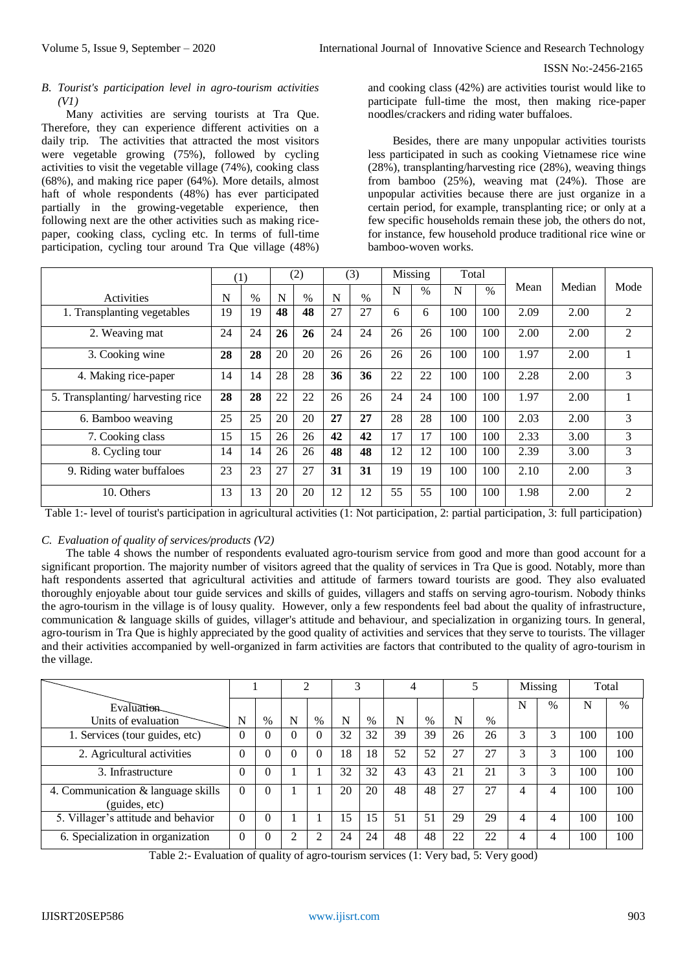## *B. Tourist's participation level in agro-tourism activities (V1)*

Many activities are serving tourists at Tra Que. Therefore, they can experience different activities on a daily trip. The activities that attracted the most visitors were vegetable growing (75%), followed by cycling activities to visit the vegetable village (74%), cooking class (68%), and making rice paper (64%). More details, almost haft of whole respondents (48%) has ever participated partially in the growing-vegetable experience, then following next are the other activities such as making ricepaper, cooking class, cycling etc. In terms of full-time participation, cycling tour around Tra Que village (48%)

and cooking class (42%) are activities tourist would like to participate full-time the most, then making rice-paper noodles/crackers and riding water buffaloes.

Besides, there are many unpopular activities tourists less participated in such as cooking Vietnamese rice wine (28%), transplanting/harvesting rice (28%), weaving things from bamboo (25%), weaving mat (24%). Those are unpopular activities because there are just organize in a certain period, for example, transplanting rice; or only at a few specific households remain these job, the others do not, for instance, few household produce traditional rice wine or bamboo-woven works.

|                                  | (1) |      | (2) |               | (3) |      | Missing |               | Total |      |      |        |                |
|----------------------------------|-----|------|-----|---------------|-----|------|---------|---------------|-------|------|------|--------|----------------|
| Activities                       | N   | $\%$ | N   | $\frac{0}{0}$ | N   | $\%$ | N       | $\frac{0}{0}$ | N     | $\%$ | Mean | Median | Mode           |
| 1. Transplanting vegetables      | 19  | 19   | 48  | 48            | 27  | 27   | 6       | 6             | 100   | 100  | 2.09 | 2.00   | $\overline{2}$ |
| 2. Weaving mat                   | 24  | 24   | 26  | 26            | 24  | 24   | 26      | 26            | 100   | 100  | 2.00 | 2.00   | $\overline{2}$ |
| 3. Cooking wine                  | 28  | 28   | 20  | 20            | 26  | 26   | 26      | 26            | 100   | 100  | 1.97 | 2.00   |                |
| 4. Making rice-paper             | 14  | 14   | 28  | 28            | 36  | 36   | 22      | 22            | 100   | 100  | 2.28 | 2.00   | 3              |
| 5. Transplanting/harvesting rice | 28  | 28   | 22  | 22            | 26  | 26   | 24      | 24            | 100   | 100  | 1.97 | 2.00   |                |
| 6. Bamboo weaving                | 25  | 25   | 20  | 20            | 27  | 27   | 28      | 28            | 100   | 100  | 2.03 | 2.00   | 3              |
| 7. Cooking class                 | 15  | 15   | 26  | 26            | 42  | 42   | 17      | 17            | 100   | 100  | 2.33 | 3.00   | 3              |
| 8. Cycling tour                  | 14  | 14   | 26  | 26            | 48  | 48   | 12      | 12            | 100   | 100  | 2.39 | 3.00   | 3              |
| 9. Riding water buffaloes        | 23  | 23   | 27  | 27            | 31  | 31   | 19      | 19            | 100   | 100  | 2.10 | 2.00   | 3              |
| 10. Others                       | 13  | 13   | 20  | 20            | 12  | 12   | 55      | 55            | 100   | 100  | 1.98 | 2.00   | 2              |

Table 1:- level of tourist's participation in agricultural activities (1: Not participation, 2: partial participation, 3: full participation)

## *C. Evaluation of quality of services/products (V2)*

The table 4 shows the number of respondents evaluated agro-tourism service from good and more than good account for a significant proportion. The majority number of visitors agreed that the quality of services in Tra Que is good. Notably, more than haft respondents asserted that agricultural activities and attitude of farmers toward tourists are good. They also evaluated thoroughly enjoyable about tour guide services and skills of guides, villagers and staffs on serving agro-tourism. Nobody thinks the agro-tourism in the village is of lousy quality. However, only a few respondents feel bad about the quality of infrastructure, communication & language skills of guides, villager's attitude and behaviour, and specialization in organizing tours. In general, agro-tourism in Tra Que is highly appreciated by the good quality of activities and services that they serve to tourists. The villager and their activities accompanied by well-organized in farm activities are factors that contributed to the quality of agro-tourism in the village.

|                                                     |          |          |   |                | ⌒  |      |    |      |    |      | Missing |      | Total |     |
|-----------------------------------------------------|----------|----------|---|----------------|----|------|----|------|----|------|---------|------|-------|-----|
| Evaluation                                          |          |          |   |                |    |      |    |      |    |      | N       | $\%$ | N     | %   |
| Units of evaluation                                 | N        | $\%$     | N | $\%$           | N  | $\%$ | N  | $\%$ | N  | $\%$ |         |      |       |     |
| 1. Services (tour guides, etc)                      | 0        | 0        | 0 | $\Omega$       | 32 | 32   | 39 | 39   | 26 | 26   | 3       | 3    | 100   | 100 |
| 2. Agricultural activities                          | 0        | 0        | 0 | $\Omega$       | 18 | 18   | 52 | 52   | 27 | 27   | 3       | 3    | 100   | 100 |
| 3. Infrastructure                                   | 0        | $\Omega$ |   |                | 32 | 32   | 43 | 43   | 21 | 21   | 3       | 3    | 100   | 100 |
| 4. Communication & language skills<br>(guides, etc) | $\Omega$ | $\theta$ |   |                | 20 | 20   | 48 | 48   | 27 | 27   | 4       | 4    | 100   | 100 |
| 5. Villager's attitude and behavior                 | $\Omega$ | $\theta$ |   |                | 15 | 15   | 51 | 51   | 29 | 29   | 4       | 4    | 100   | 100 |
| 6. Specialization in organization                   | $\theta$ | $\theta$ |   | $\mathfrak{D}$ | 24 | 24   | 48 | 48   | 22 | 22   | 4       | 4    | 100   | 100 |

Table 2:- Evaluation of quality of agro-tourism services (1: Very bad, 5: Very good)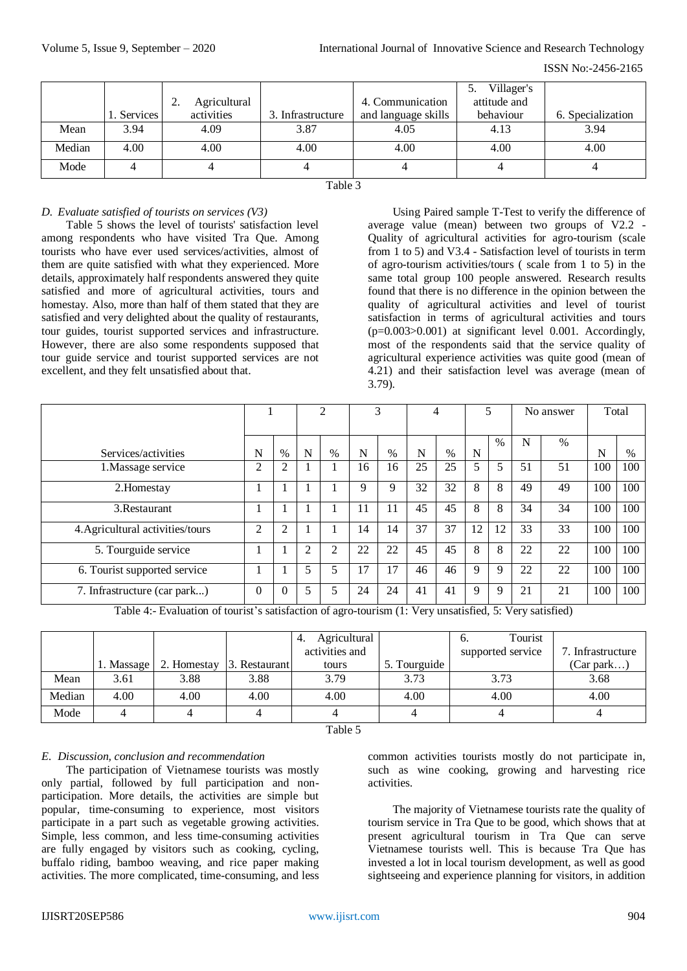ISSN No:-2456-2165

|        |            |                    |                   |                     | Villager's   |                   |
|--------|------------|--------------------|-------------------|---------------------|--------------|-------------------|
|        |            | Agricultural<br>٠. |                   | 4. Communication    | attitude and |                   |
|        | . Services | activities         | 3. Infrastructure | and language skills | behaviour    | 6. Specialization |
| Mean   | 3.94       | 4.09               | 3.87              | 4.05                | 4.13         | 3.94              |
| Median | 4.00       | 4.00               | 4.00              | 4.00                | 4.00         | 4.00              |
| Mode   |            |                    |                   |                     |              |                   |

## Table 3

# *D. Evaluate satisfied of tourists on services (V3)*

Table 5 shows the level of tourists' satisfaction level among respondents who have visited Tra Que. Among tourists who have ever used services/activities, almost of them are quite satisfied with what they experienced. More details, approximately half respondents answered they quite satisfied and more of agricultural activities, tours and homestay. Also, more than half of them stated that they are satisfied and very delighted about the quality of restaurants, tour guides, tourist supported services and infrastructure. However, there are also some respondents supposed that tour guide service and tourist supported services are not excellent, and they felt unsatisfied about that.

Using Paired sample T-Test to verify the difference of average value (mean) between two groups of V2.2 - Quality of agricultural activities for agro-tourism (scale from 1 to 5) and V3.4 - Satisfaction level of tourists in term of agro-tourism activities/tours ( scale from 1 to 5) in the same total group 100 people answered. Research results found that there is no difference in the opinion between the quality of agricultural activities and level of tourist satisfaction in terms of agricultural activities and tours (p=0.003>0.001) at significant level 0.001. Accordingly, most of the respondents said that the service quality of agricultural experience activities was quite good (mean of 4.21) and their satisfaction level was average (mean of 3.79).

|                                  |          |          | ↑              |                | 3  |    |    |    |    |      | No answer |      | Total |     |
|----------------------------------|----------|----------|----------------|----------------|----|----|----|----|----|------|-----------|------|-------|-----|
| Services/activities              | N        | $\%$     | N              | $\%$           | N  | %  | N  | %  | N  | $\%$ | N         | $\%$ | N     | %   |
| 1. Massage service               | 2        | 2        |                |                | 16 | 16 | 25 | 25 | 5  | 5    | 51        | 51   | 100   | 100 |
| 2. Homestay                      |          |          |                |                | 9  | 9  | 32 | 32 | 8  | 8    | 49        | 49   | 100   | 100 |
| 3. Restaurant                    |          | H        |                |                | 11 | 11 | 45 | 45 | 8  | 8    | 34        | 34   | 100   | 100 |
| 4. Agricultural activities/tours | 2        | 2        |                |                | 14 | 14 | 37 | 37 | 12 | 12   | 33        | 33   | 100   | 100 |
| 5. Tourguide service             |          |          | $\mathfrak{D}$ | $\overline{c}$ | 22 | 22 | 45 | 45 | 8  | 8    | 22        | 22   | 100   | 100 |
| 6. Tourist supported service     |          |          | 5              | 5              | 17 | 17 | 46 | 46 | 9  | 9    | 22        | 22   | 100   | 100 |
| 7. Infrastructure (car park)     | $\Omega$ | $\Omega$ |                | 5              | 24 | 24 | 41 | 41 | 9  | 9    | 21        | 21   | 100   | 100 |

Table 4:- Evaluation of tourist's satisfaction of agro-tourism (1: Very unsatisfied, 5: Very satisfied)

|        |            |             |               | Agricultural<br>4.<br>activities and |              | Tourist<br>O.<br>supported service | 7. Infrastructure |
|--------|------------|-------------|---------------|--------------------------------------|--------------|------------------------------------|-------------------|
|        | 1. Massage | 2. Homestay | 3. Restaurant | tours                                | 5. Tourguide |                                    | (Car park)        |
| Mean   | 3.61       | 3.88        | 3.88          | 3.79                                 | 3.73         | 3.73                               | 3.68              |
| Median | 4.00       | 4.00        | 4.00          | 4.00                                 | 4.00         | 4.00                               | 4.00              |
| Mode   |            |             |               |                                      |              |                                    |                   |
|        |            |             |               | $\sim$ 11 $\sim$                     |              |                                    |                   |

Table 5

## *E. Discussion, conclusion and recommendation*

The participation of Vietnamese tourists was mostly only partial, followed by full participation and nonparticipation. More details, the activities are simple but popular, time-consuming to experience, most visitors participate in a part such as vegetable growing activities. Simple, less common, and less time-consuming activities are fully engaged by visitors such as cooking, cycling, buffalo riding, bamboo weaving, and rice paper making activities. The more complicated, time-consuming, and less

common activities tourists mostly do not participate in, such as wine cooking, growing and harvesting rice activities.

The majority of Vietnamese tourists rate the quality of tourism service in Tra Que to be good, which shows that at present agricultural tourism in Tra Que can serve Vietnamese tourists well. This is because Tra Que has invested a lot in local tourism development, as well as good sightseeing and experience planning for visitors, in addition